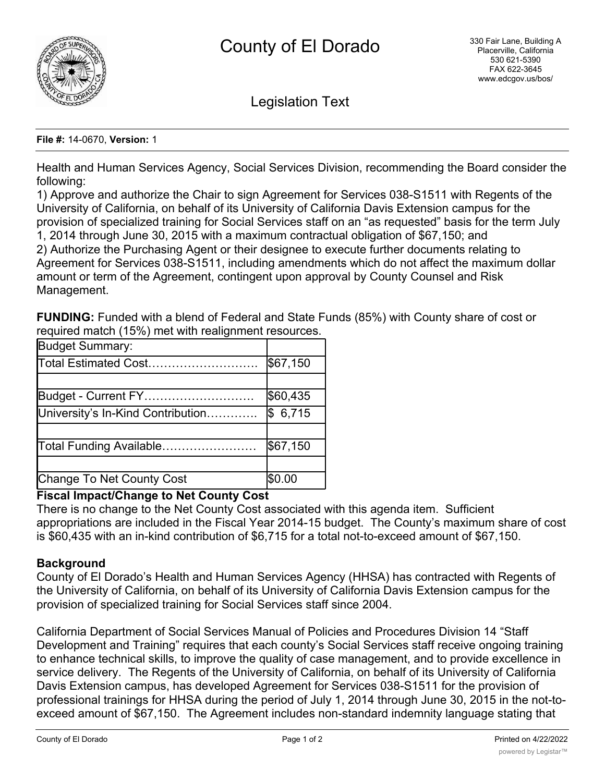

Legislation Text

#### **File #:** 14-0670, **Version:** 1

Health and Human Services Agency, Social Services Division, recommending the Board consider the following:

1) Approve and authorize the Chair to sign Agreement for Services 038-S1511 with Regents of the University of California, on behalf of its University of California Davis Extension campus for the provision of specialized training for Social Services staff on an "as requested" basis for the term July 1, 2014 through June 30, 2015 with a maximum contractual obligation of \$67,150; and 2) Authorize the Purchasing Agent or their designee to execute further documents relating to Agreement for Services 038-S1511, including amendments which do not affect the maximum dollar amount or term of the Agreement, contingent upon approval by County Counsel and Risk Management.

**FUNDING:** Funded with a blend of Federal and State Funds (85%) with County share of cost or required match (15%) met with realignment resources.

| <b>Budget Summary:</b>            |          |
|-----------------------------------|----------|
| Total Estimated Cost              | \$67,150 |
|                                   |          |
| Budget - Current FY               | \$60,435 |
| University's In-Kind Contribution | \$6,715  |
|                                   |          |
| Total Funding Available           | \$67,150 |
|                                   |          |
| Change To Net County Cost         | \$0.00   |

## **Fiscal Impact/Change to Net County Cost**

There is no change to the Net County Cost associated with this agenda item. Sufficient appropriations are included in the Fiscal Year 2014-15 budget. The County's maximum share of cost is \$60,435 with an in-kind contribution of \$6,715 for a total not-to-exceed amount of \$67,150.

# **Background**

County of El Dorado's Health and Human Services Agency (HHSA) has contracted with Regents of the University of California, on behalf of its University of California Davis Extension campus for the provision of specialized training for Social Services staff since 2004.

California Department of Social Services Manual of Policies and Procedures Division 14 "Staff Development and Training" requires that each county's Social Services staff receive ongoing training to enhance technical skills, to improve the quality of case management, and to provide excellence in service delivery. The Regents of the University of California, on behalf of its University of California Davis Extension campus, has developed Agreement for Services 038-S1511 for the provision of professional trainings for HHSA during the period of July 1, 2014 through June 30, 2015 in the not-toexceed amount of \$67,150. The Agreement includes non-standard indemnity language stating that